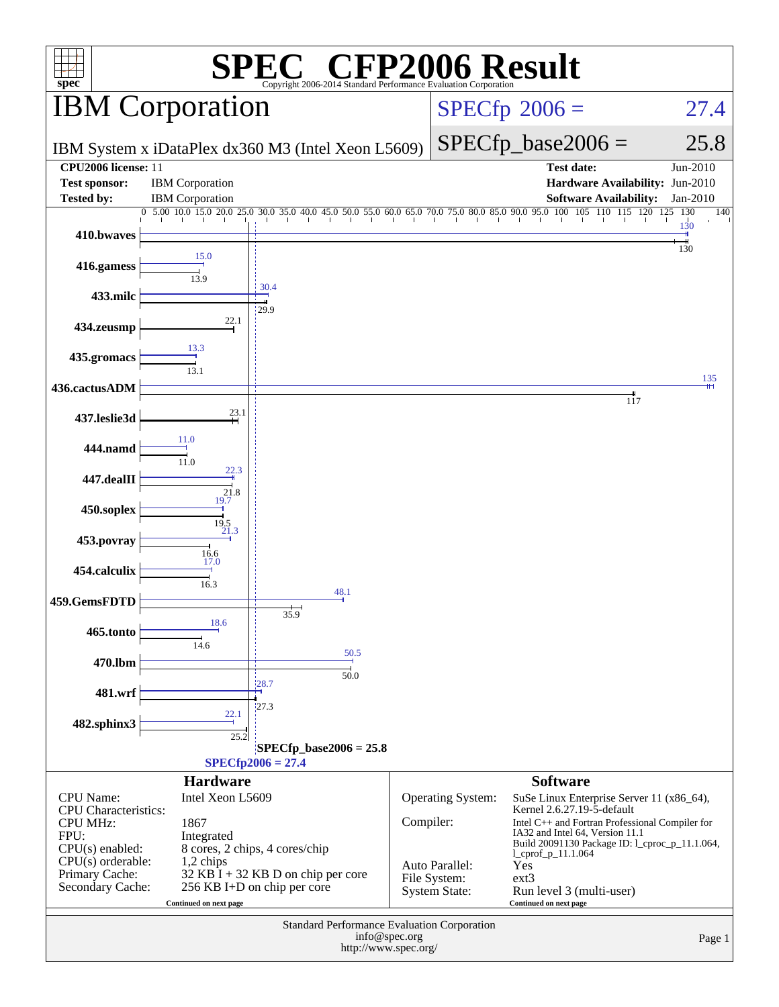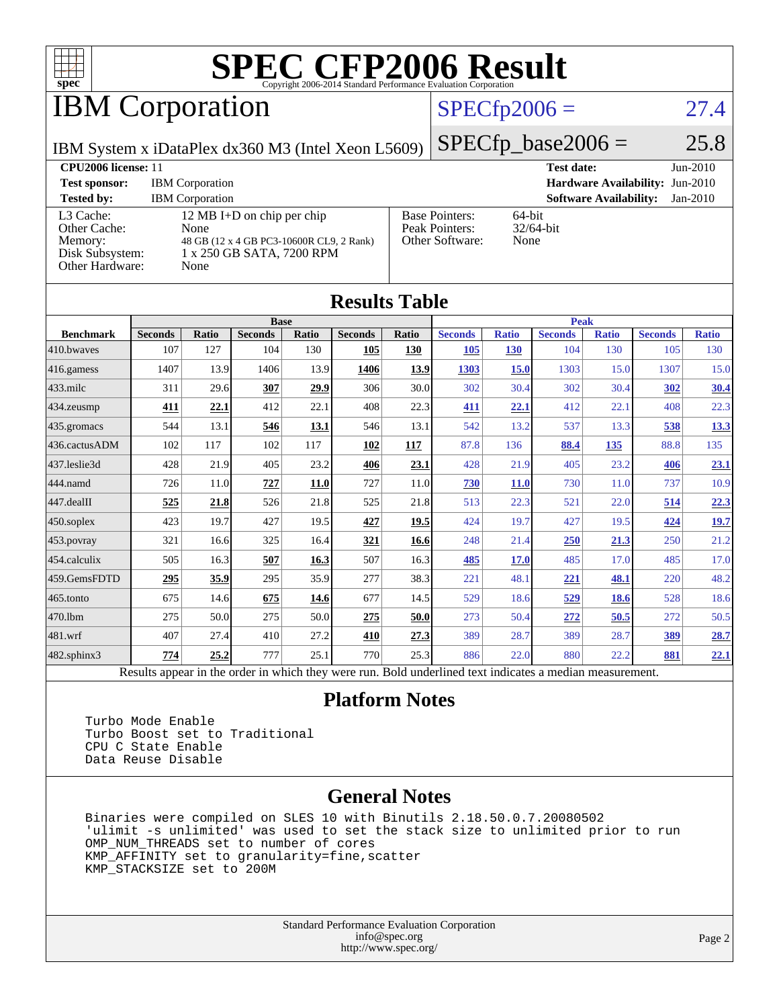

# IBM Corporation

#### $SPECfp2006 = 27.4$  $SPECfp2006 = 27.4$

IBM System x iDataPlex dx360 M3 (Intel Xeon L5609)

 $SPECfp\_base2006 = 25.8$ 

| CPU <sub>2006</sub> license: 11                                            |                                                                                                                     |                                                            | <b>Test date:</b><br>$Jun-2010$             |
|----------------------------------------------------------------------------|---------------------------------------------------------------------------------------------------------------------|------------------------------------------------------------|---------------------------------------------|
| <b>Test sponsor:</b>                                                       | <b>IBM</b> Corporation                                                                                              |                                                            | <b>Hardware Availability: Jun-2010</b>      |
| <b>Tested by:</b>                                                          | <b>IBM</b> Corporation                                                                                              |                                                            | <b>Software Availability:</b><br>$Jan-2010$ |
| L3 Cache:<br>Other Cache:<br>Memory:<br>Disk Subsystem:<br>Other Hardware: | 12 MB I+D on chip per chip<br>None<br>48 GB (12 x 4 GB PC3-10600R CL9, 2 Rank)<br>1 x 250 GB SATA, 7200 RPM<br>None | <b>Base Pointers:</b><br>Peak Pointers:<br>Other Software: | $64$ -bit<br>$32/64$ -bit<br>None           |

| <b>Results Table</b> |                                                                                                          |       |                |       |                |             |                |              |                |              |                |              |
|----------------------|----------------------------------------------------------------------------------------------------------|-------|----------------|-------|----------------|-------------|----------------|--------------|----------------|--------------|----------------|--------------|
|                      | <b>Base</b>                                                                                              |       |                |       | <b>Peak</b>    |             |                |              |                |              |                |              |
| <b>Benchmark</b>     | <b>Seconds</b>                                                                                           | Ratio | <b>Seconds</b> | Ratio | <b>Seconds</b> | Ratio       | <b>Seconds</b> | <b>Ratio</b> | <b>Seconds</b> | <b>Ratio</b> | <b>Seconds</b> | <b>Ratio</b> |
| 410.bwayes           | 107                                                                                                      | 127   | 104            | 130   | 105            | 130         | 105            | <b>130</b>   | 104            | 130          | 105            | 130          |
| 416.gamess           | 1407                                                                                                     | 13.9  | 1406           | 13.9  | 1406           | <u>13.9</u> | 1303           | <b>15.0</b>  | 1303           | 15.0         | 1307           | 15.0         |
| $433$ .milc          | 311                                                                                                      | 29.6  | 307            | 29.9  | 306            | 30.0        | 302            | 30.4         | 302            | 30.4         | 302            | 30.4         |
| 434.zeusmp           | 411                                                                                                      | 22.1  | 412            | 22.1  | 408            | 22.3        | 411            | 22.1         | 412            | 22.1         | 408            | 22.3         |
| 435 gromacs          | 544                                                                                                      | 13.1  | 546            | 13.1  | 546            | 13.1        | 542            | 13.2         | 537            | 13.3         | 538            | 13.3         |
| 436.cactusADM        | 102                                                                                                      | 117   | 102            | 117   | 102            | 117         | 87.8           | 136          | 88.4           | 135          | 88.8           | 135          |
| 437.leslie3d         | 428                                                                                                      | 21.9  | 405            | 23.2  | 406            | 23.1        | 428            | 21.9         | 405            | 23.2         | 406            | 23.1         |
| 444.namd             | 726                                                                                                      | 11.0  | 727            | 11.0  | 727            | 11.0        | <b>730</b>     | <b>11.0</b>  | 730            | 11.0         | 737            | 10.9         |
| 447.dealII           | 525                                                                                                      | 21.8  | 526            | 21.8  | 525            | 21.8        | 513            | 22.3         | 521            | 22.0         | 514            | 22.3         |
| $450$ .soplex        | 423                                                                                                      | 19.7  | 427            | 19.5  | 427            | 19.5        | 424            | 19.7         | 427            | 19.5         | 424            | 19.7         |
| 453.povray           | 321                                                                                                      | 16.6  | 325            | 16.4  | 321            | 16.6        | 248            | 21.4         | 250            | 21.3         | 250            | 21.2         |
| 454.calculix         | 505                                                                                                      | 16.3  | 507            | 16.3  | 507            | 16.3        | 485            | 17.0         | 485            | 17.0         | 485            | 17.0         |
| 459.GemsFDTD         | 295                                                                                                      | 35.9  | 295            | 35.9  | 277            | 38.3        | 221            | 48.1         | 221            | 48.1         | 220            | 48.2         |
| 465.tonto            | 675                                                                                                      | 14.6  | 675            | 14.6  | 677            | 14.5        | 529            | 18.6         | 529            | 18.6         | 528            | 18.6         |
| 470.1bm              | 275                                                                                                      | 50.0  | 275            | 50.0  | 275            | 50.0        | 273            | 50.4         | 272            | 50.5         | 272            | 50.5         |
| 481.wrf              | 407                                                                                                      | 27.4  | 410            | 27.2  | 410            | 27.3        | 389            | 28.7         | 389            | 28.7         | 389            | 28.7         |
| 482.sphinx3          | 774                                                                                                      | 25.2  | 777            | 25.1  | 770            | 25.3        | 886            | 22.0         | 880            | 22.2         | 881            | 22.1         |
|                      | Results appear in the order in which they were run. Bold underlined text indicates a median measurement. |       |                |       |                |             |                |              |                |              |                |              |

#### **[Platform Notes](http://www.spec.org/auto/cpu2006/Docs/result-fields.html#PlatformNotes)**

 Turbo Mode Enable Turbo Boost set to Traditional CPU C State Enable Data Reuse Disable

#### **[General Notes](http://www.spec.org/auto/cpu2006/Docs/result-fields.html#GeneralNotes)**

 Binaries were compiled on SLES 10 with Binutils 2.18.50.0.7.20080502 'ulimit -s unlimited' was used to set the stack size to unlimited prior to run OMP\_NUM\_THREADS set to number of cores KMP\_AFFINITY set to granularity=fine,scatter KMP\_STACKSIZE set to 200M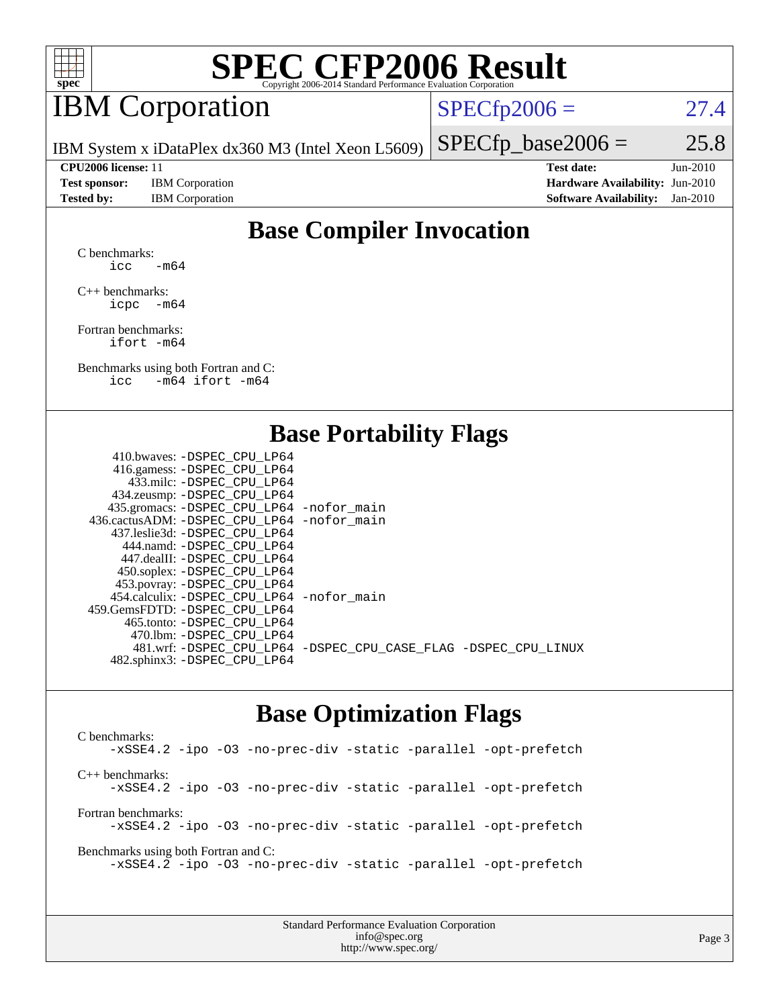

## IBM Corporation

 $SPECTp2006 = 27.4$ 

IBM System x iDataPlex dx360 M3 (Intel Xeon L5609)

 $SPECTp\_base2006 = 25.8$ 

**[Test sponsor:](http://www.spec.org/auto/cpu2006/Docs/result-fields.html#Testsponsor)** IBM Corporation **[Hardware Availability:](http://www.spec.org/auto/cpu2006/Docs/result-fields.html#HardwareAvailability)** Jun-2010

**[CPU2006 license:](http://www.spec.org/auto/cpu2006/Docs/result-fields.html#CPU2006license)** 11 **[Test date:](http://www.spec.org/auto/cpu2006/Docs/result-fields.html#Testdate)** Jun-2010 **[Tested by:](http://www.spec.org/auto/cpu2006/Docs/result-fields.html#Testedby)** IBM Corporation **[Software Availability:](http://www.spec.org/auto/cpu2006/Docs/result-fields.html#SoftwareAvailability)** Jan-2010

### **[Base Compiler Invocation](http://www.spec.org/auto/cpu2006/Docs/result-fields.html#BaseCompilerInvocation)**

[C benchmarks](http://www.spec.org/auto/cpu2006/Docs/result-fields.html#Cbenchmarks): icc  $-m64$ 

[C++ benchmarks:](http://www.spec.org/auto/cpu2006/Docs/result-fields.html#CXXbenchmarks) [icpc -m64](http://www.spec.org/cpu2006/results/res2010q3/cpu2006-20100621-11799.flags.html#user_CXXbase_intel_icpc_64bit_bedb90c1146cab66620883ef4f41a67e)

[Fortran benchmarks](http://www.spec.org/auto/cpu2006/Docs/result-fields.html#Fortranbenchmarks): [ifort -m64](http://www.spec.org/cpu2006/results/res2010q3/cpu2006-20100621-11799.flags.html#user_FCbase_intel_ifort_64bit_ee9d0fb25645d0210d97eb0527dcc06e)

[Benchmarks using both Fortran and C](http://www.spec.org/auto/cpu2006/Docs/result-fields.html#BenchmarksusingbothFortranandC): [icc -m64](http://www.spec.org/cpu2006/results/res2010q3/cpu2006-20100621-11799.flags.html#user_CC_FCbase_intel_icc_64bit_0b7121f5ab7cfabee23d88897260401c) [ifort -m64](http://www.spec.org/cpu2006/results/res2010q3/cpu2006-20100621-11799.flags.html#user_CC_FCbase_intel_ifort_64bit_ee9d0fb25645d0210d97eb0527dcc06e)

#### **[Base Portability Flags](http://www.spec.org/auto/cpu2006/Docs/result-fields.html#BasePortabilityFlags)**

| 410.bwaves: -DSPEC CPU LP64                  |                                                                |
|----------------------------------------------|----------------------------------------------------------------|
| 416.gamess: - DSPEC_CPU_LP64                 |                                                                |
| 433.milc: -DSPEC CPU LP64                    |                                                                |
| 434.zeusmp: -DSPEC_CPU_LP64                  |                                                                |
| 435.gromacs: -DSPEC_CPU_LP64 -nofor_main     |                                                                |
| 436.cactusADM: - DSPEC CPU LP64 - nofor main |                                                                |
| 437.leslie3d: -DSPEC CPU LP64                |                                                                |
| 444.namd: - DSPEC CPU LP64                   |                                                                |
| 447.dealII: - DSPEC CPU LP64                 |                                                                |
| 450.soplex: -DSPEC_CPU_LP64                  |                                                                |
| 453.povray: -DSPEC_CPU_LP64                  |                                                                |
| 454.calculix: - DSPEC CPU LP64 - nofor main  |                                                                |
| 459. GemsFDTD: - DSPEC CPU LP64              |                                                                |
| 465.tonto: - DSPEC CPU LP64                  |                                                                |
| 470.1bm: - DSPEC CPU LP64                    |                                                                |
|                                              | 481.wrf: -DSPEC_CPU_LP64 -DSPEC_CPU_CASE_FLAG -DSPEC_CPU_LINUX |
| 482.sphinx3: -DSPEC_CPU_LP64                 |                                                                |
|                                              |                                                                |

#### **[Base Optimization Flags](http://www.spec.org/auto/cpu2006/Docs/result-fields.html#BaseOptimizationFlags)**

[C benchmarks](http://www.spec.org/auto/cpu2006/Docs/result-fields.html#Cbenchmarks): [-xSSE4.2](http://www.spec.org/cpu2006/results/res2010q3/cpu2006-20100621-11799.flags.html#user_CCbase_f-xSSE42_f91528193cf0b216347adb8b939d4107) [-ipo](http://www.spec.org/cpu2006/results/res2010q3/cpu2006-20100621-11799.flags.html#user_CCbase_f-ipo) [-O3](http://www.spec.org/cpu2006/results/res2010q3/cpu2006-20100621-11799.flags.html#user_CCbase_f-O3) [-no-prec-div](http://www.spec.org/cpu2006/results/res2010q3/cpu2006-20100621-11799.flags.html#user_CCbase_f-no-prec-div) [-static](http://www.spec.org/cpu2006/results/res2010q3/cpu2006-20100621-11799.flags.html#user_CCbase_f-static) [-parallel](http://www.spec.org/cpu2006/results/res2010q3/cpu2006-20100621-11799.flags.html#user_CCbase_f-parallel) [-opt-prefetch](http://www.spec.org/cpu2006/results/res2010q3/cpu2006-20100621-11799.flags.html#user_CCbase_f-opt-prefetch) [C++ benchmarks:](http://www.spec.org/auto/cpu2006/Docs/result-fields.html#CXXbenchmarks) [-xSSE4.2](http://www.spec.org/cpu2006/results/res2010q3/cpu2006-20100621-11799.flags.html#user_CXXbase_f-xSSE42_f91528193cf0b216347adb8b939d4107) [-ipo](http://www.spec.org/cpu2006/results/res2010q3/cpu2006-20100621-11799.flags.html#user_CXXbase_f-ipo) [-O3](http://www.spec.org/cpu2006/results/res2010q3/cpu2006-20100621-11799.flags.html#user_CXXbase_f-O3) [-no-prec-div](http://www.spec.org/cpu2006/results/res2010q3/cpu2006-20100621-11799.flags.html#user_CXXbase_f-no-prec-div) [-static](http://www.spec.org/cpu2006/results/res2010q3/cpu2006-20100621-11799.flags.html#user_CXXbase_f-static) [-parallel](http://www.spec.org/cpu2006/results/res2010q3/cpu2006-20100621-11799.flags.html#user_CXXbase_f-parallel) [-opt-prefetch](http://www.spec.org/cpu2006/results/res2010q3/cpu2006-20100621-11799.flags.html#user_CXXbase_f-opt-prefetch) [Fortran benchmarks](http://www.spec.org/auto/cpu2006/Docs/result-fields.html#Fortranbenchmarks): [-xSSE4.2](http://www.spec.org/cpu2006/results/res2010q3/cpu2006-20100621-11799.flags.html#user_FCbase_f-xSSE42_f91528193cf0b216347adb8b939d4107) [-ipo](http://www.spec.org/cpu2006/results/res2010q3/cpu2006-20100621-11799.flags.html#user_FCbase_f-ipo) [-O3](http://www.spec.org/cpu2006/results/res2010q3/cpu2006-20100621-11799.flags.html#user_FCbase_f-O3) [-no-prec-div](http://www.spec.org/cpu2006/results/res2010q3/cpu2006-20100621-11799.flags.html#user_FCbase_f-no-prec-div) [-static](http://www.spec.org/cpu2006/results/res2010q3/cpu2006-20100621-11799.flags.html#user_FCbase_f-static) [-parallel](http://www.spec.org/cpu2006/results/res2010q3/cpu2006-20100621-11799.flags.html#user_FCbase_f-parallel) [-opt-prefetch](http://www.spec.org/cpu2006/results/res2010q3/cpu2006-20100621-11799.flags.html#user_FCbase_f-opt-prefetch) [Benchmarks using both Fortran and C](http://www.spec.org/auto/cpu2006/Docs/result-fields.html#BenchmarksusingbothFortranandC): [-xSSE4.2](http://www.spec.org/cpu2006/results/res2010q3/cpu2006-20100621-11799.flags.html#user_CC_FCbase_f-xSSE42_f91528193cf0b216347adb8b939d4107) [-ipo](http://www.spec.org/cpu2006/results/res2010q3/cpu2006-20100621-11799.flags.html#user_CC_FCbase_f-ipo) [-O3](http://www.spec.org/cpu2006/results/res2010q3/cpu2006-20100621-11799.flags.html#user_CC_FCbase_f-O3) [-no-prec-div](http://www.spec.org/cpu2006/results/res2010q3/cpu2006-20100621-11799.flags.html#user_CC_FCbase_f-no-prec-div) [-static](http://www.spec.org/cpu2006/results/res2010q3/cpu2006-20100621-11799.flags.html#user_CC_FCbase_f-static) [-parallel](http://www.spec.org/cpu2006/results/res2010q3/cpu2006-20100621-11799.flags.html#user_CC_FCbase_f-parallel) [-opt-prefetch](http://www.spec.org/cpu2006/results/res2010q3/cpu2006-20100621-11799.flags.html#user_CC_FCbase_f-opt-prefetch)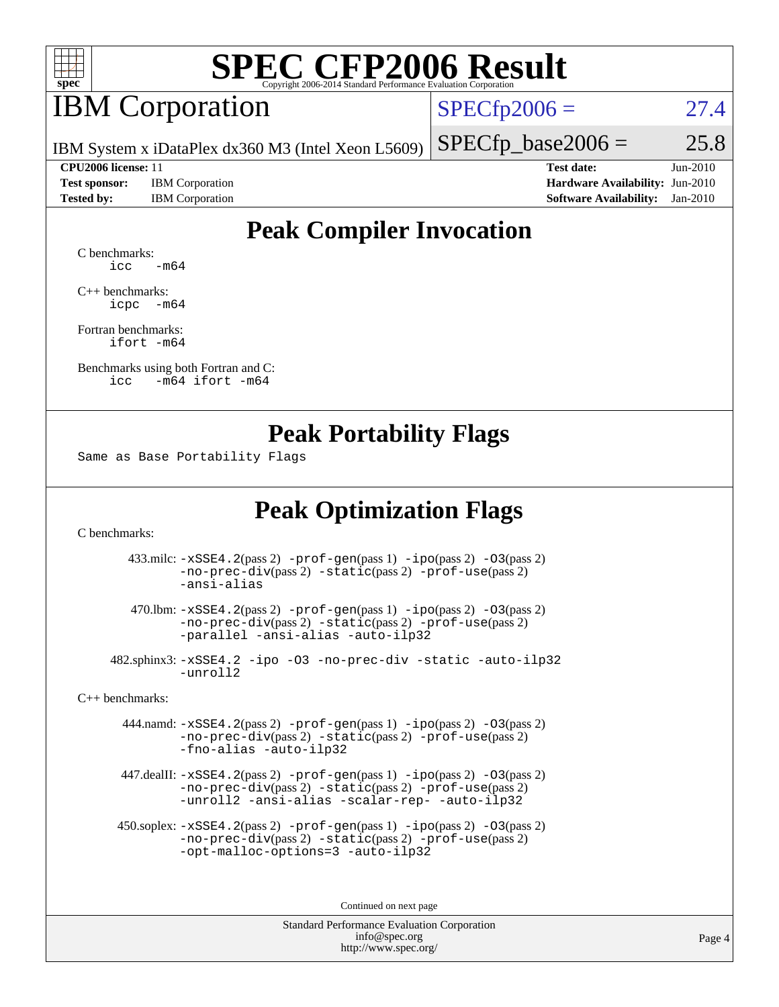

## **IBM** Corporation

 $SPECfp2006 = 27.4$  $SPECfp2006 = 27.4$ 

IBM System x iDataPlex dx360 M3 (Intel Xeon L5609)

**[Test sponsor:](http://www.spec.org/auto/cpu2006/Docs/result-fields.html#Testsponsor)** IBM Corporation **[Hardware Availability:](http://www.spec.org/auto/cpu2006/Docs/result-fields.html#HardwareAvailability)** Jun-2010 **[Tested by:](http://www.spec.org/auto/cpu2006/Docs/result-fields.html#Testedby)** IBM Corporation **[Software Availability:](http://www.spec.org/auto/cpu2006/Docs/result-fields.html#SoftwareAvailability)** Jan-2010

 $SPECTp\_base2006 = 25.8$ **[CPU2006 license:](http://www.spec.org/auto/cpu2006/Docs/result-fields.html#CPU2006license)** 11 **[Test date:](http://www.spec.org/auto/cpu2006/Docs/result-fields.html#Testdate)** Jun-2010

### **[Peak Compiler Invocation](http://www.spec.org/auto/cpu2006/Docs/result-fields.html#PeakCompilerInvocation)**

[C benchmarks](http://www.spec.org/auto/cpu2006/Docs/result-fields.html#Cbenchmarks):  $\text{icc}$   $-\text{m64}$ 

[C++ benchmarks:](http://www.spec.org/auto/cpu2006/Docs/result-fields.html#CXXbenchmarks) [icpc -m64](http://www.spec.org/cpu2006/results/res2010q3/cpu2006-20100621-11799.flags.html#user_CXXpeak_intel_icpc_64bit_bedb90c1146cab66620883ef4f41a67e)

[Fortran benchmarks](http://www.spec.org/auto/cpu2006/Docs/result-fields.html#Fortranbenchmarks): [ifort -m64](http://www.spec.org/cpu2006/results/res2010q3/cpu2006-20100621-11799.flags.html#user_FCpeak_intel_ifort_64bit_ee9d0fb25645d0210d97eb0527dcc06e)

[Benchmarks using both Fortran and C](http://www.spec.org/auto/cpu2006/Docs/result-fields.html#BenchmarksusingbothFortranandC): [icc -m64](http://www.spec.org/cpu2006/results/res2010q3/cpu2006-20100621-11799.flags.html#user_CC_FCpeak_intel_icc_64bit_0b7121f5ab7cfabee23d88897260401c) [ifort -m64](http://www.spec.org/cpu2006/results/res2010q3/cpu2006-20100621-11799.flags.html#user_CC_FCpeak_intel_ifort_64bit_ee9d0fb25645d0210d97eb0527dcc06e)

#### **[Peak Portability Flags](http://www.spec.org/auto/cpu2006/Docs/result-fields.html#PeakPortabilityFlags)**

Same as Base Portability Flags

### **[Peak Optimization Flags](http://www.spec.org/auto/cpu2006/Docs/result-fields.html#PeakOptimizationFlags)**

[C benchmarks](http://www.spec.org/auto/cpu2006/Docs/result-fields.html#Cbenchmarks):

 433.milc: [-xSSE4.2](http://www.spec.org/cpu2006/results/res2010q3/cpu2006-20100621-11799.flags.html#user_peakPASS2_CFLAGSPASS2_LDFLAGS433_milc_f-xSSE42_f91528193cf0b216347adb8b939d4107)(pass 2) [-prof-gen](http://www.spec.org/cpu2006/results/res2010q3/cpu2006-20100621-11799.flags.html#user_peakPASS1_CFLAGSPASS1_LDFLAGS433_milc_prof_gen_e43856698f6ca7b7e442dfd80e94a8fc)(pass 1) [-ipo](http://www.spec.org/cpu2006/results/res2010q3/cpu2006-20100621-11799.flags.html#user_peakPASS2_CFLAGSPASS2_LDFLAGS433_milc_f-ipo)(pass 2) [-O3](http://www.spec.org/cpu2006/results/res2010q3/cpu2006-20100621-11799.flags.html#user_peakPASS2_CFLAGSPASS2_LDFLAGS433_milc_f-O3)(pass 2) [-no-prec-div](http://www.spec.org/cpu2006/results/res2010q3/cpu2006-20100621-11799.flags.html#user_peakPASS2_CFLAGSPASS2_LDFLAGS433_milc_f-no-prec-div)(pass 2) [-static](http://www.spec.org/cpu2006/results/res2010q3/cpu2006-20100621-11799.flags.html#user_peakPASS2_CFLAGSPASS2_LDFLAGS433_milc_f-static)(pass 2) [-prof-use](http://www.spec.org/cpu2006/results/res2010q3/cpu2006-20100621-11799.flags.html#user_peakPASS2_CFLAGSPASS2_LDFLAGS433_milc_prof_use_bccf7792157ff70d64e32fe3e1250b55)(pass 2) [-ansi-alias](http://www.spec.org/cpu2006/results/res2010q3/cpu2006-20100621-11799.flags.html#user_peakOPTIMIZE433_milc_f-ansi-alias)

 470.lbm: [-xSSE4.2](http://www.spec.org/cpu2006/results/res2010q3/cpu2006-20100621-11799.flags.html#user_peakPASS2_CFLAGSPASS2_LDFLAGS470_lbm_f-xSSE42_f91528193cf0b216347adb8b939d4107)(pass 2) [-prof-gen](http://www.spec.org/cpu2006/results/res2010q3/cpu2006-20100621-11799.flags.html#user_peakPASS1_CFLAGSPASS1_LDFLAGS470_lbm_prof_gen_e43856698f6ca7b7e442dfd80e94a8fc)(pass 1) [-ipo](http://www.spec.org/cpu2006/results/res2010q3/cpu2006-20100621-11799.flags.html#user_peakPASS2_CFLAGSPASS2_LDFLAGS470_lbm_f-ipo)(pass 2) [-O3](http://www.spec.org/cpu2006/results/res2010q3/cpu2006-20100621-11799.flags.html#user_peakPASS2_CFLAGSPASS2_LDFLAGS470_lbm_f-O3)(pass 2) [-no-prec-div](http://www.spec.org/cpu2006/results/res2010q3/cpu2006-20100621-11799.flags.html#user_peakPASS2_CFLAGSPASS2_LDFLAGS470_lbm_f-no-prec-div)(pass 2) [-static](http://www.spec.org/cpu2006/results/res2010q3/cpu2006-20100621-11799.flags.html#user_peakPASS2_CFLAGSPASS2_LDFLAGS470_lbm_f-static)(pass 2) [-prof-use](http://www.spec.org/cpu2006/results/res2010q3/cpu2006-20100621-11799.flags.html#user_peakPASS2_CFLAGSPASS2_LDFLAGS470_lbm_prof_use_bccf7792157ff70d64e32fe3e1250b55)(pass 2) [-parallel](http://www.spec.org/cpu2006/results/res2010q3/cpu2006-20100621-11799.flags.html#user_peakOPTIMIZE470_lbm_f-parallel) [-ansi-alias](http://www.spec.org/cpu2006/results/res2010q3/cpu2006-20100621-11799.flags.html#user_peakOPTIMIZE470_lbm_f-ansi-alias) [-auto-ilp32](http://www.spec.org/cpu2006/results/res2010q3/cpu2006-20100621-11799.flags.html#user_peakCOPTIMIZE470_lbm_f-auto-ilp32)

 482.sphinx3: [-xSSE4.2](http://www.spec.org/cpu2006/results/res2010q3/cpu2006-20100621-11799.flags.html#user_peakOPTIMIZE482_sphinx3_f-xSSE42_f91528193cf0b216347adb8b939d4107) [-ipo](http://www.spec.org/cpu2006/results/res2010q3/cpu2006-20100621-11799.flags.html#user_peakOPTIMIZE482_sphinx3_f-ipo) [-O3](http://www.spec.org/cpu2006/results/res2010q3/cpu2006-20100621-11799.flags.html#user_peakOPTIMIZE482_sphinx3_f-O3) [-no-prec-div](http://www.spec.org/cpu2006/results/res2010q3/cpu2006-20100621-11799.flags.html#user_peakOPTIMIZE482_sphinx3_f-no-prec-div) [-static](http://www.spec.org/cpu2006/results/res2010q3/cpu2006-20100621-11799.flags.html#user_peakOPTIMIZE482_sphinx3_f-static) [-auto-ilp32](http://www.spec.org/cpu2006/results/res2010q3/cpu2006-20100621-11799.flags.html#user_peakCOPTIMIZE482_sphinx3_f-auto-ilp32) [-unroll2](http://www.spec.org/cpu2006/results/res2010q3/cpu2006-20100621-11799.flags.html#user_peakCOPTIMIZE482_sphinx3_f-unroll_784dae83bebfb236979b41d2422d7ec2)

[C++ benchmarks:](http://www.spec.org/auto/cpu2006/Docs/result-fields.html#CXXbenchmarks)

 444.namd: [-xSSE4.2](http://www.spec.org/cpu2006/results/res2010q3/cpu2006-20100621-11799.flags.html#user_peakPASS2_CXXFLAGSPASS2_LDFLAGS444_namd_f-xSSE42_f91528193cf0b216347adb8b939d4107)(pass 2) [-prof-gen](http://www.spec.org/cpu2006/results/res2010q3/cpu2006-20100621-11799.flags.html#user_peakPASS1_CXXFLAGSPASS1_LDFLAGS444_namd_prof_gen_e43856698f6ca7b7e442dfd80e94a8fc)(pass 1) [-ipo](http://www.spec.org/cpu2006/results/res2010q3/cpu2006-20100621-11799.flags.html#user_peakPASS2_CXXFLAGSPASS2_LDFLAGS444_namd_f-ipo)(pass 2) [-O3](http://www.spec.org/cpu2006/results/res2010q3/cpu2006-20100621-11799.flags.html#user_peakPASS2_CXXFLAGSPASS2_LDFLAGS444_namd_f-O3)(pass 2) [-no-prec-div](http://www.spec.org/cpu2006/results/res2010q3/cpu2006-20100621-11799.flags.html#user_peakPASS2_CXXFLAGSPASS2_LDFLAGS444_namd_f-no-prec-div)(pass 2) [-static](http://www.spec.org/cpu2006/results/res2010q3/cpu2006-20100621-11799.flags.html#user_peakPASS2_CXXFLAGSPASS2_LDFLAGS444_namd_f-static)(pass 2) [-prof-use](http://www.spec.org/cpu2006/results/res2010q3/cpu2006-20100621-11799.flags.html#user_peakPASS2_CXXFLAGSPASS2_LDFLAGS444_namd_prof_use_bccf7792157ff70d64e32fe3e1250b55)(pass 2) [-fno-alias](http://www.spec.org/cpu2006/results/res2010q3/cpu2006-20100621-11799.flags.html#user_peakOPTIMIZE444_namd_f-no-alias_694e77f6c5a51e658e82ccff53a9e63a) [-auto-ilp32](http://www.spec.org/cpu2006/results/res2010q3/cpu2006-20100621-11799.flags.html#user_peakCXXOPTIMIZE444_namd_f-auto-ilp32)

 447.dealII: [-xSSE4.2](http://www.spec.org/cpu2006/results/res2010q3/cpu2006-20100621-11799.flags.html#user_peakPASS2_CXXFLAGSPASS2_LDFLAGS447_dealII_f-xSSE42_f91528193cf0b216347adb8b939d4107)(pass 2) [-prof-gen](http://www.spec.org/cpu2006/results/res2010q3/cpu2006-20100621-11799.flags.html#user_peakPASS1_CXXFLAGSPASS1_LDFLAGS447_dealII_prof_gen_e43856698f6ca7b7e442dfd80e94a8fc)(pass 1) [-ipo](http://www.spec.org/cpu2006/results/res2010q3/cpu2006-20100621-11799.flags.html#user_peakPASS2_CXXFLAGSPASS2_LDFLAGS447_dealII_f-ipo)(pass 2) [-O3](http://www.spec.org/cpu2006/results/res2010q3/cpu2006-20100621-11799.flags.html#user_peakPASS2_CXXFLAGSPASS2_LDFLAGS447_dealII_f-O3)(pass 2) [-no-prec-div](http://www.spec.org/cpu2006/results/res2010q3/cpu2006-20100621-11799.flags.html#user_peakPASS2_CXXFLAGSPASS2_LDFLAGS447_dealII_f-no-prec-div)(pass 2) [-static](http://www.spec.org/cpu2006/results/res2010q3/cpu2006-20100621-11799.flags.html#user_peakPASS2_CXXFLAGSPASS2_LDFLAGS447_dealII_f-static)(pass 2) [-prof-use](http://www.spec.org/cpu2006/results/res2010q3/cpu2006-20100621-11799.flags.html#user_peakPASS2_CXXFLAGSPASS2_LDFLAGS447_dealII_prof_use_bccf7792157ff70d64e32fe3e1250b55)(pass 2) [-unroll2](http://www.spec.org/cpu2006/results/res2010q3/cpu2006-20100621-11799.flags.html#user_peakOPTIMIZE447_dealII_f-unroll_784dae83bebfb236979b41d2422d7ec2) [-ansi-alias](http://www.spec.org/cpu2006/results/res2010q3/cpu2006-20100621-11799.flags.html#user_peakOPTIMIZE447_dealII_f-ansi-alias) [-scalar-rep-](http://www.spec.org/cpu2006/results/res2010q3/cpu2006-20100621-11799.flags.html#user_peakOPTIMIZE447_dealII_f-disablescalarrep_abbcad04450fb118e4809c81d83c8a1d) [-auto-ilp32](http://www.spec.org/cpu2006/results/res2010q3/cpu2006-20100621-11799.flags.html#user_peakCXXOPTIMIZE447_dealII_f-auto-ilp32)

 450.soplex: [-xSSE4.2](http://www.spec.org/cpu2006/results/res2010q3/cpu2006-20100621-11799.flags.html#user_peakPASS2_CXXFLAGSPASS2_LDFLAGS450_soplex_f-xSSE42_f91528193cf0b216347adb8b939d4107)(pass 2) [-prof-gen](http://www.spec.org/cpu2006/results/res2010q3/cpu2006-20100621-11799.flags.html#user_peakPASS1_CXXFLAGSPASS1_LDFLAGS450_soplex_prof_gen_e43856698f6ca7b7e442dfd80e94a8fc)(pass 1) [-ipo](http://www.spec.org/cpu2006/results/res2010q3/cpu2006-20100621-11799.flags.html#user_peakPASS2_CXXFLAGSPASS2_LDFLAGS450_soplex_f-ipo)(pass 2) [-O3](http://www.spec.org/cpu2006/results/res2010q3/cpu2006-20100621-11799.flags.html#user_peakPASS2_CXXFLAGSPASS2_LDFLAGS450_soplex_f-O3)(pass 2) [-no-prec-div](http://www.spec.org/cpu2006/results/res2010q3/cpu2006-20100621-11799.flags.html#user_peakPASS2_CXXFLAGSPASS2_LDFLAGS450_soplex_f-no-prec-div)(pass 2) [-static](http://www.spec.org/cpu2006/results/res2010q3/cpu2006-20100621-11799.flags.html#user_peakPASS2_CXXFLAGSPASS2_LDFLAGS450_soplex_f-static)(pass 2) [-prof-use](http://www.spec.org/cpu2006/results/res2010q3/cpu2006-20100621-11799.flags.html#user_peakPASS2_CXXFLAGSPASS2_LDFLAGS450_soplex_prof_use_bccf7792157ff70d64e32fe3e1250b55)(pass 2) [-opt-malloc-options=3](http://www.spec.org/cpu2006/results/res2010q3/cpu2006-20100621-11799.flags.html#user_peakOPTIMIZE450_soplex_f-opt-malloc-options_13ab9b803cf986b4ee62f0a5998c2238) [-auto-ilp32](http://www.spec.org/cpu2006/results/res2010q3/cpu2006-20100621-11799.flags.html#user_peakCXXOPTIMIZE450_soplex_f-auto-ilp32)

Continued on next page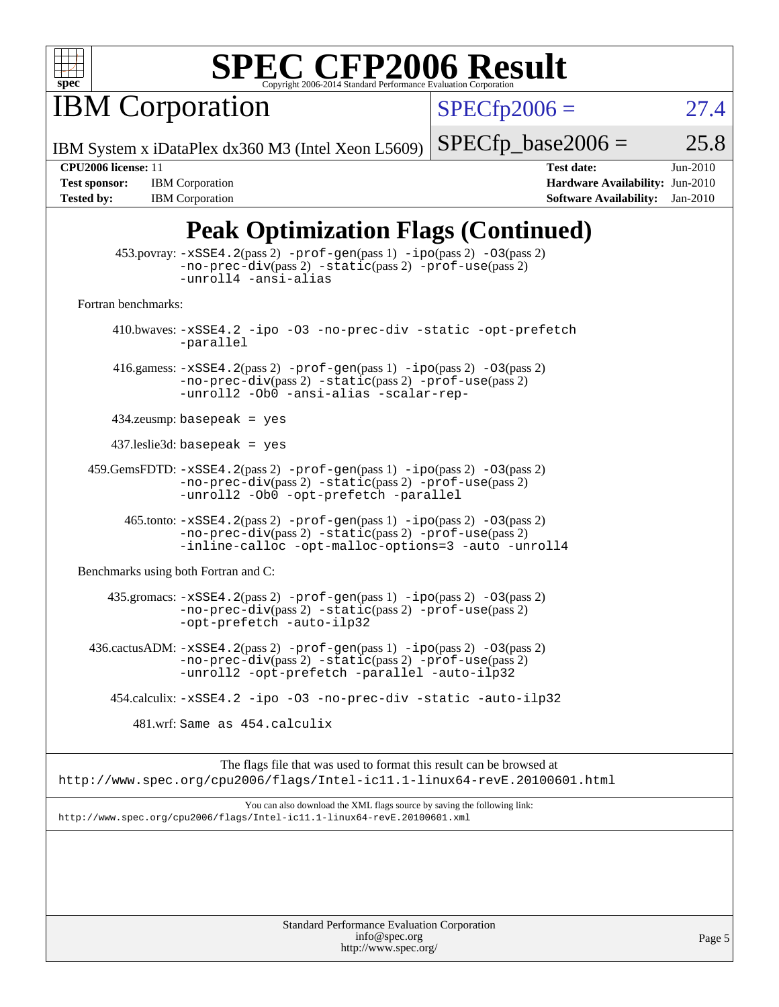

**IBM Corporation** 

 $SPECfp2006 = 27.4$  $SPECfp2006 = 27.4$ 

IBM System x iDataPlex dx360 M3 (Intel Xeon L5609)

 $SPECTp\_base2006 = 25.8$ 

**[Tested by:](http://www.spec.org/auto/cpu2006/Docs/result-fields.html#Testedby)** IBM Corporation **[Software Availability:](http://www.spec.org/auto/cpu2006/Docs/result-fields.html#SoftwareAvailability)** Jan-2010

**[CPU2006 license:](http://www.spec.org/auto/cpu2006/Docs/result-fields.html#CPU2006license)** 11 **[Test date:](http://www.spec.org/auto/cpu2006/Docs/result-fields.html#Testdate)** Jun-2010 **[Test sponsor:](http://www.spec.org/auto/cpu2006/Docs/result-fields.html#Testsponsor)** IBM Corporation **[Hardware Availability:](http://www.spec.org/auto/cpu2006/Docs/result-fields.html#HardwareAvailability)** Jun-2010

### **[Peak Optimization Flags \(Continued\)](http://www.spec.org/auto/cpu2006/Docs/result-fields.html#PeakOptimizationFlags)**

| 453.povray: -xSSE4.2(pass 2) -prof-gen(pass 1) -ipo(pass 2) -03(pass 2)<br>$-no-prec-div(pass 2) -static(pass 2) -prof-use(pass 2)$<br>-unroll4 -ansi-alias                                                          |  |  |  |  |  |
|----------------------------------------------------------------------------------------------------------------------------------------------------------------------------------------------------------------------|--|--|--|--|--|
| Fortran benchmarks:                                                                                                                                                                                                  |  |  |  |  |  |
| 410.bwaves: -xSSE4.2 -ipo -03 -no-prec-div -static -opt-prefetch<br>-parallel                                                                                                                                        |  |  |  |  |  |
| 416.gamess: -xSSE4.2(pass 2) -prof-gen(pass 1) -ipo(pass 2) -03(pass 2)<br>-no-prec-div(pass 2) -static(pass 2) -prof-use(pass 2)<br>-unroll2 -Ob0 -ansi-alias -scalar-rep-                                          |  |  |  |  |  |
| $434$ .zeusmp: basepeak = yes                                                                                                                                                                                        |  |  |  |  |  |
| $437$ .leslie3d: basepeak = yes                                                                                                                                                                                      |  |  |  |  |  |
| 459.GemsFDTD: -xSSE4.2(pass 2) -prof-gen(pass 1) -ipo(pass 2) -03(pass 2)<br>$-no\text{-prec-div}(pass 2)$ $-static(pass 2)$ $-prot\text{-use}(pass 2)$<br>-unroll2 -Ob0 -opt-prefetch -parallel                     |  |  |  |  |  |
| $465$ .tonto: $-xSSE4$ . 2(pass 2) $-prof-gen(pass 1) -ipo(pass 2) -03(pass 2)$<br>$-no\text{-prec-div}(pass 2)$ $-static(pass 2)$ $-prot\text{-use}(pass 2)$<br>-inline-calloc -opt-malloc-options=3 -auto -unroll4 |  |  |  |  |  |
| Benchmarks using both Fortran and C:                                                                                                                                                                                 |  |  |  |  |  |
| 435.gromacs: $-xSSE4$ . 2(pass 2) $-prof$ -gen(pass 1) $-ipo$ (pass 2) $-O3$ (pass 2)<br>$-no\text{-prec-div}(pass 2)$ $-static(pass 2)$ $-prof\text{-use}(pass 2)$<br>-opt-prefetch -auto-ilp32                     |  |  |  |  |  |
| $436.cactusADM: -xSSE4.2(pass2) -prof-gen(pass1) -ipo(pass2) -O3(pass2)$<br>-no-prec-div(pass 2) -static(pass 2) -prof-use(pass 2)<br>-unroll2 -opt-prefetch -parallel -auto-ilp32                                   |  |  |  |  |  |
| 454.calculix: -xSSE4.2 -ipo -03 -no-prec-div -static -auto-ilp32                                                                                                                                                     |  |  |  |  |  |
| 481.wrf: Same as 454.calculix                                                                                                                                                                                        |  |  |  |  |  |
| The flags file that was used to format this result can be browsed at<br>http://www.spec.org/cpu2006/flags/Intel-ic11.1-linux64-revE.20100601.html                                                                    |  |  |  |  |  |
| You can also download the XML flags source by saving the following link:<br>http://www.spec.org/cpu2006/flags/Intel-ic11.1-linux64-revE.20100601.xml                                                                 |  |  |  |  |  |
|                                                                                                                                                                                                                      |  |  |  |  |  |
|                                                                                                                                                                                                                      |  |  |  |  |  |
| <b>Standard Performance Evaluation Corporation</b>                                                                                                                                                                   |  |  |  |  |  |

[info@spec.org](mailto:info@spec.org) <http://www.spec.org/>

Page 5